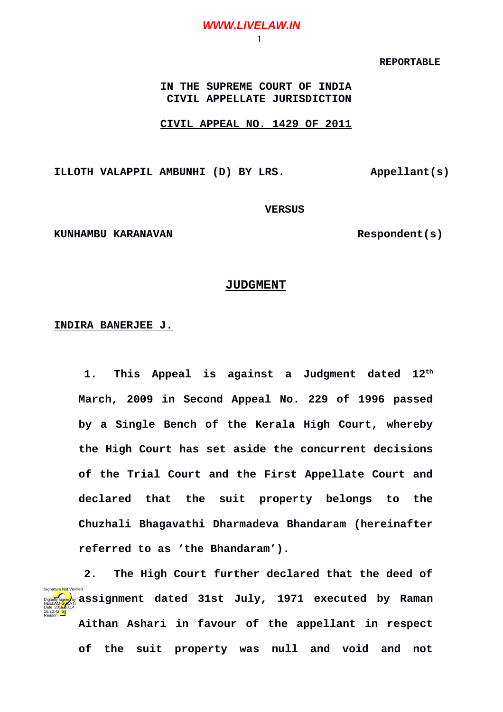# **WWW.LIVELAW.IN**

#### 1

### **REPORTABLE**

**IN THE SUPREME COURT OF INDIA CIVIL APPELLATE JURISDICTION**

#### **CIVIL APPEAL NO. 1429 OF 2011**

**ILLOTH VALAPPIL AMBUNHI (D) BY LRS. Appellant(s)**

# **VERSUS**

KUNHAMBU KARANAVAN **Respondent(s)** 

# **JUDGMENT**

### **INDIRA BANERJEE J.**

**1. This Appeal is against a Judgment dated 12th March, 2009 in Second Appeal No. 229 of 1996 passed by a Single Bench of the Kerala High Court, whereby the High Court has set aside the concurrent decisions of the Trial Court and the First Appellate Court and declared that the suit property belongs to the Chuzhali Bhagavathi Dharmadeva Bhandaram (hereinafter referred to as 'the Bhandaram').**

**2. The High Court further declared that the deed of assignment dated 31st July, 1971 executed by Raman Aithan Ashari in favour of the appellant in respect of the suit property was null and void and not** Digitally signed by NEELAM GULATI Date: 2010.14 16:23:42 IST Reason: Signature Not Verified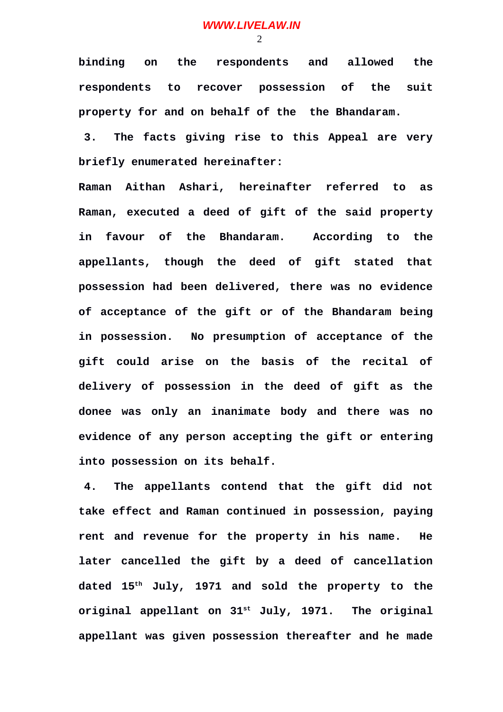$\mathcal{D}$ 

**binding on the respondents and allowed the respondents to recover possession of the suit property for and on behalf of the the Bhandaram.**

**3. The facts giving rise to this Appeal are very briefly enumerated hereinafter:**

**Raman Aithan Ashari, hereinafter referred to as Raman, executed a deed of gift of the said property in favour of the Bhandaram. According to the appellants, though the deed of gift stated that possession had been delivered, there was no evidence of acceptance of the gift or of the Bhandaram being in possession. No presumption of acceptance of the gift could arise on the basis of the recital of delivery of possession in the deed of gift as the donee was only an inanimate body and there was no evidence of any person accepting the gift or entering into possession on its behalf.**

**4. The appellants contend that the gift did not take effect and Raman continued in possession, paying rent and revenue for the property in his name. He later cancelled the gift by a deed of cancellation dated 15th July, 1971 and sold the property to the original appellant on 31st July, 1971. The original appellant was given possession thereafter and he made**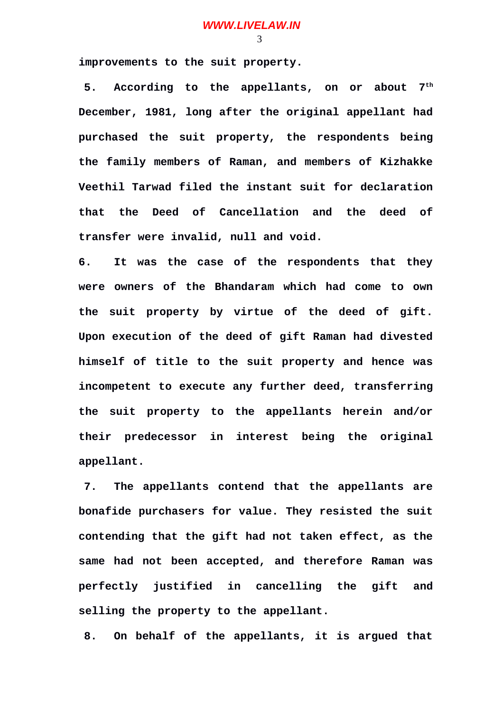**improvements to the suit property.** 

**5. According to the appellants, on or about 7th December, 1981, long after the original appellant had purchased the suit property, the respondents being the family members of Raman, and members of Kizhakke Veethil Tarwad filed the instant suit for declaration that the Deed of Cancellation and the deed of transfer were invalid, null and void.**

**6. It was the case of the respondents that they were owners of the Bhandaram which had come to own the suit property by virtue of the deed of gift. Upon execution of the deed of gift Raman had divested himself of title to the suit property and hence was incompetent to execute any further deed, transferring the suit property to the appellants herein and/or their predecessor in interest being the original appellant.** 

**7. The appellants contend that the appellants are bonafide purchasers for value. They resisted the suit contending that the gift had not taken effect, as the same had not been accepted, and therefore Raman was perfectly justified in cancelling the gift and selling the property to the appellant.** 

**8. On behalf of the appellants, it is argued that**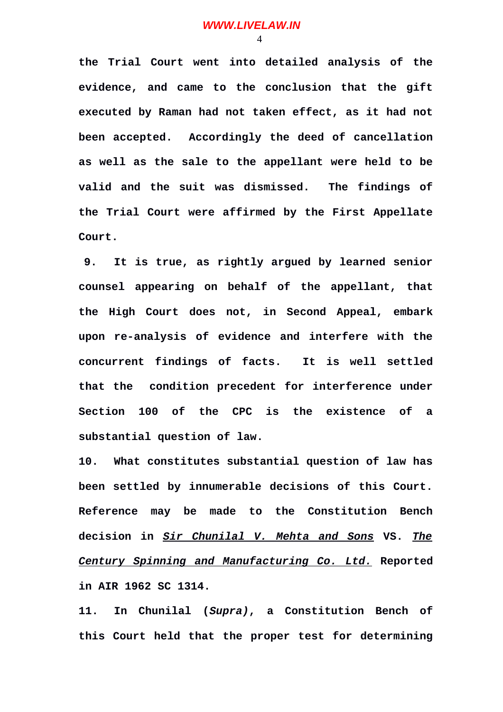**the Trial Court went into detailed analysis of the evidence, and came to the conclusion that the gift executed by Raman had not taken effect, as it had not been accepted. Accordingly the deed of cancellation as well as the sale to the appellant were held to be valid and the suit was dismissed. The findings of the Trial Court were affirmed by the First Appellate Court.** 

**9. It is true, as rightly argued by learned senior counsel appearing on behalf of the appellant, that the High Court does not, in Second Appeal, embark upon re-analysis of evidence and interfere with the concurrent findings of facts. It is well settled that the condition precedent for interference under Section 100 of the CPC is the existence of a substantial question of law.**

**10. What constitutes substantial question of law has been settled by innumerable decisions of this Court. Reference may be made to the Constitution Bench decision in** *Sir Chunilal V. Mehta and Sons* **VS.** *The Century Spinning and Manufacturing Co. Ltd.* **Reported in AIR 1962 SC 1314.** 

**11. In Chunilal (***Supra)***, a Constitution Bench of this Court held that the proper test for determining**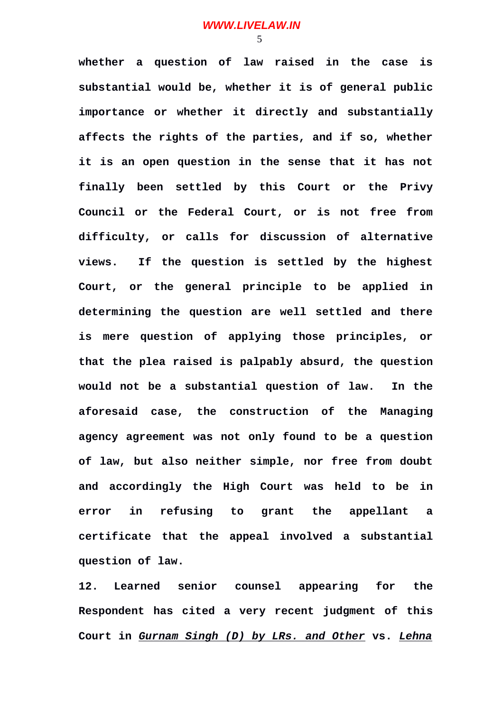**whether a question of law raised in the case is substantial would be, whether it is of general public importance or whether it directly and substantially affects the rights of the parties, and if so, whether it is an open question in the sense that it has not finally been settled by this Court or the Privy Council or the Federal Court, or is not free from difficulty, or calls for discussion of alternative views. If the question is settled by the highest Court, or the general principle to be applied in determining the question are well settled and there is mere question of applying those principles, or that the plea raised is palpably absurd, the question would not be a substantial question of law. In the aforesaid case, the construction of the Managing agency agreement was not only found to be a question of law, but also neither simple, nor free from doubt and accordingly the High Court was held to be in error in refusing to grant the appellant a certificate that the appeal involved a substantial question of law.**

**12. Learned senior counsel appearing for the Respondent has cited a very recent judgment of this Court in** *Gurnam Singh (D) by LRs. and Other* **vs.** *Lehna*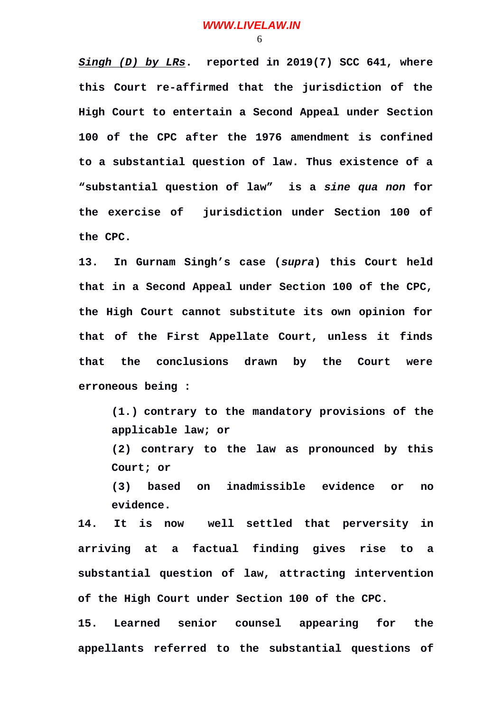*Singh (D) by LRs***. reported in 2019(7) SCC 641, where this Court re-affirmed that the jurisdiction of the High Court to entertain a Second Appeal under Section 100 of the CPC after the 1976 amendment is confined to a substantial question of law. Thus existence of a "substantial question of law" is a** *sine qua non* **for the exercise of jurisdiction under Section 100 of the CPC.** 

**13. In Gurnam Singh's case (***supra***) this Court held that in a Second Appeal under Section 100 of the CPC, the High Court cannot substitute its own opinion for that of the First Appellate Court, unless it finds that the conclusions drawn by the Court were erroneous being :**

**(1.) contrary to the mandatory provisions of the applicable law; or**

**(2) contrary to the law as pronounced by this Court; or**

**(3) based on inadmissible evidence or no evidence.**

**14. It is now well settled that perversity in arriving at a factual finding gives rise to a substantial question of law, attracting intervention of the High Court under Section 100 of the CPC.**

**15. Learned senior counsel appearing for the appellants referred to the substantial questions of**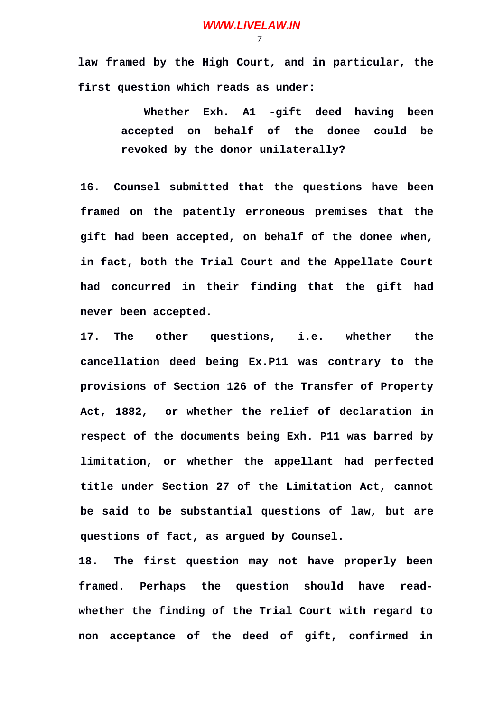**law framed by the High Court, and in particular, the first question which reads as under:**

> **Whether Exh. A1 -gift deed having been accepted on behalf of the donee could be revoked by the donor unilaterally?**

**16. Counsel submitted that the questions have been framed on the patently erroneous premises that the gift had been accepted, on behalf of the donee when, in fact, both the Trial Court and the Appellate Court had concurred in their finding that the gift had never been accepted.**

**17. The other questions, i.e. whether the cancellation deed being Ex.P11 was contrary to the provisions of Section 126 of the Transfer of Property Act, 1882, or whether the relief of declaration in respect of the documents being Exh. P11 was barred by limitation, or whether the appellant had perfected title under Section 27 of the Limitation Act, cannot be said to be substantial questions of law, but are questions of fact, as argued by Counsel.**

**18. The first question may not have properly been framed. Perhaps the question should have readwhether the finding of the Trial Court with regard to non acceptance of the deed of gift, confirmed in**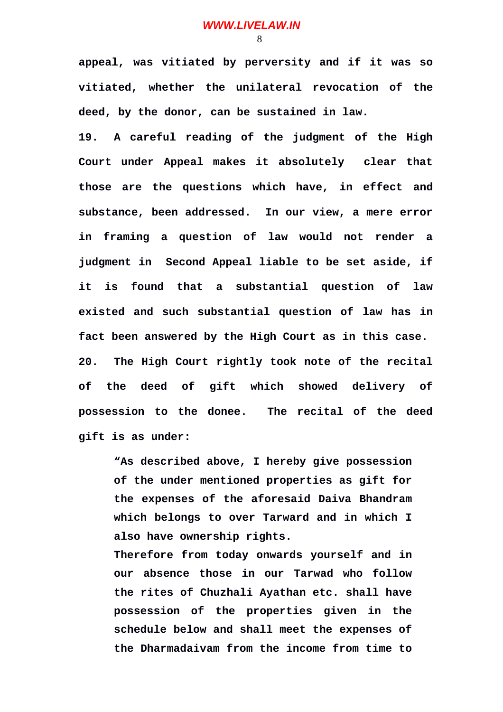**appeal, was vitiated by perversity and if it was so vitiated, whether the unilateral revocation of the deed, by the donor, can be sustained in law.** 

**19. A careful reading of the judgment of the High Court under Appeal makes it absolutely clear that those are the questions which have, in effect and substance, been addressed. In our view, a mere error in framing a question of law would not render a judgment in Second Appeal liable to be set aside, if it is found that a substantial question of law existed and such substantial question of law has in fact been answered by the High Court as in this case. 20. The High Court rightly took note of the recital of the deed of gift which showed delivery of possession to the donee. The recital of the deed gift is as under:**

**"As described above, I hereby give possession of the under mentioned properties as gift for the expenses of the aforesaid Daiva Bhandram which belongs to over Tarward and in which I also have ownership rights.**

**Therefore from today onwards yourself and in our absence those in our Tarwad who follow the rites of Chuzhali Ayathan etc. shall have possession of the properties given in the schedule below and shall meet the expenses of the Dharmadaivam from the income from time to**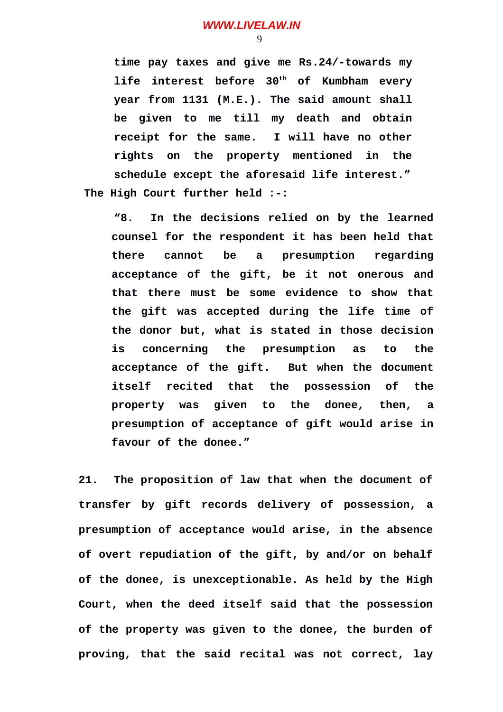**time pay taxes and give me Rs.24/-towards my life interest before 30th of Kumbham every year from 1131 (M.E.). The said amount shall be given to me till my death and obtain receipt for the same. I will have no other rights on the property mentioned in the schedule except the aforesaid life interest." The High Court further held :-:**

**"8. In the decisions relied on by the learned counsel for the respondent it has been held that there cannot be a presumption regarding acceptance of the gift, be it not onerous and that there must be some evidence to show that the gift was accepted during the life time of the donor but, what is stated in those decision is concerning the presumption as to the acceptance of the gift. But when the document itself recited that the possession of the property was given to the donee, then, a presumption of acceptance of gift would arise in favour of the donee."**

**21. The proposition of law that when the document of transfer by gift records delivery of possession, a presumption of acceptance would arise, in the absence of overt repudiation of the gift, by and/or on behalf of the donee, is unexceptionable. As held by the High Court, when the deed itself said that the possession of the property was given to the donee, the burden of proving, that the said recital was not correct, lay**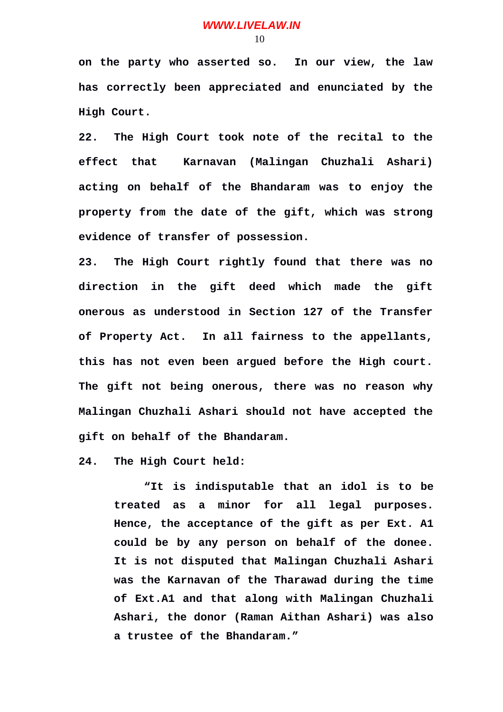**on the party who asserted so. In our view, the law has correctly been appreciated and enunciated by the High Court.**

**22. The High Court took note of the recital to the effect that Karnavan (Malingan Chuzhali Ashari) acting on behalf of the Bhandaram was to enjoy the property from the date of the gift, which was strong evidence of transfer of possession.** 

**23. The High Court rightly found that there was no direction in the gift deed which made the gift onerous as understood in Section 127 of the Transfer of Property Act. In all fairness to the appellants, this has not even been argued before the High court. The gift not being onerous, there was no reason why Malingan Chuzhali Ashari should not have accepted the gift on behalf of the Bhandaram.**

**24. The High Court held:**

**"It is indisputable that an idol is to be treated as a minor for all legal purposes. Hence, the acceptance of the gift as per Ext. A1 could be by any person on behalf of the donee. It is not disputed that Malingan Chuzhali Ashari was the Karnavan of the Tharawad during the time of Ext.A1 and that along with Malingan Chuzhali Ashari, the donor (Raman Aithan Ashari) was also a trustee of the Bhandaram."**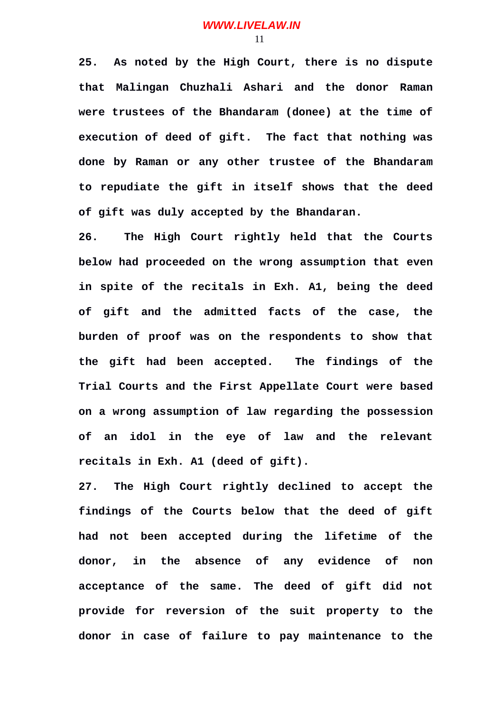**25. As noted by the High Court, there is no dispute that Malingan Chuzhali Ashari and the donor Raman were trustees of the Bhandaram (donee) at the time of execution of deed of gift. The fact that nothing was done by Raman or any other trustee of the Bhandaram to repudiate the gift in itself shows that the deed of gift was duly accepted by the Bhandaran.**

**26. The High Court rightly held that the Courts below had proceeded on the wrong assumption that even in spite of the recitals in Exh. A1, being the deed of gift and the admitted facts of the case, the burden of proof was on the respondents to show that the gift had been accepted. The findings of the Trial Courts and the First Appellate Court were based on a wrong assumption of law regarding the possession of an idol in the eye of law and the relevant recitals in Exh. A1 (deed of gift).**

**27. The High Court rightly declined to accept the findings of the Courts below that the deed of gift had not been accepted during the lifetime of the donor, in the absence of any evidence of non acceptance of the same. The deed of gift did not provide for reversion of the suit property to the donor in case of failure to pay maintenance to the**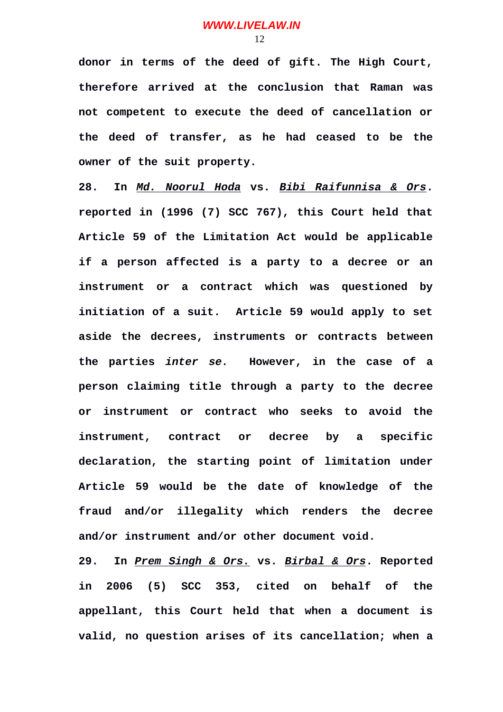**donor in terms of the deed of gift. The High Court, therefore arrived at the conclusion that Raman was not competent to execute the deed of cancellation or the deed of transfer, as he had ceased to be the owner of the suit property.**

**28. In** *Md. Noorul Hoda* **vs.** *Bibi Raifunnisa & Ors***. reported in (1996 (7) SCC 767), this Court held that Article 59 of the Limitation Act would be applicable if a person affected is a party to a decree or an instrument or a contract which was questioned by initiation of a suit. Article 59 would apply to set aside the decrees, instruments or contracts between the parties** *inter se.* **However, in the case of a person claiming title through a party to the decree or instrument or contract who seeks to avoid the instrument, contract or decree by a specific declaration, the starting point of limitation under Article 59 would be the date of knowledge of the fraud and/or illegality which renders the decree and/or instrument and/or other document void.**

**29. In** *Prem Singh & Ors.* **vs.** *Birbal & Ors***. Reported in 2006 (5) SCC 353, cited on behalf of the appellant, this Court held that when a document is valid, no question arises of its cancellation; when a**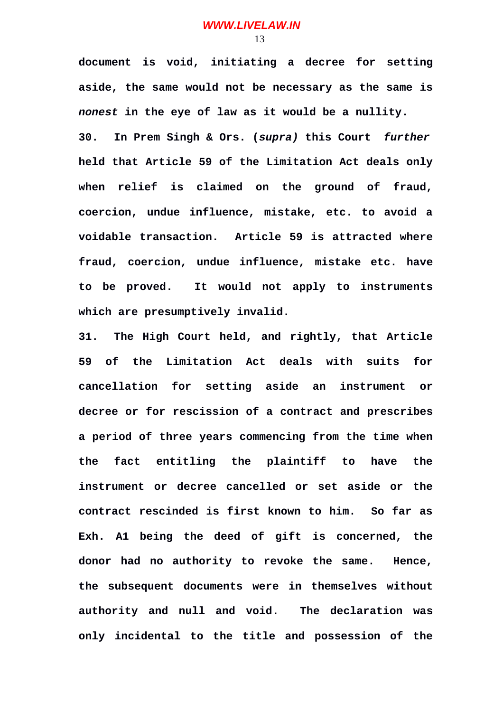**document is void, initiating a decree for setting aside, the same would not be necessary as the same is** *nonest* **in the eye of law as it would be a nullity. 30. In Prem Singh & Ors. (***supra)* **this Court** *further* **held that Article 59 of the Limitation Act deals only when relief is claimed on the ground of fraud, coercion, undue influence, mistake, etc. to avoid a voidable transaction. Article 59 is attracted where fraud, coercion, undue influence, mistake etc. have to be proved. It would not apply to instruments which are presumptively invalid.**

**31. The High Court held, and rightly, that Article 59 of the Limitation Act deals with suits for cancellation for setting aside an instrument or decree or for rescission of a contract and prescribes a period of three years commencing from the time when the fact entitling the plaintiff to have the instrument or decree cancelled or set aside or the contract rescinded is first known to him. So far as Exh. A1 being the deed of gift is concerned, the donor had no authority to revoke the same. Hence, the subsequent documents were in themselves without authority and null and void. The declaration was only incidental to the title and possession of the**